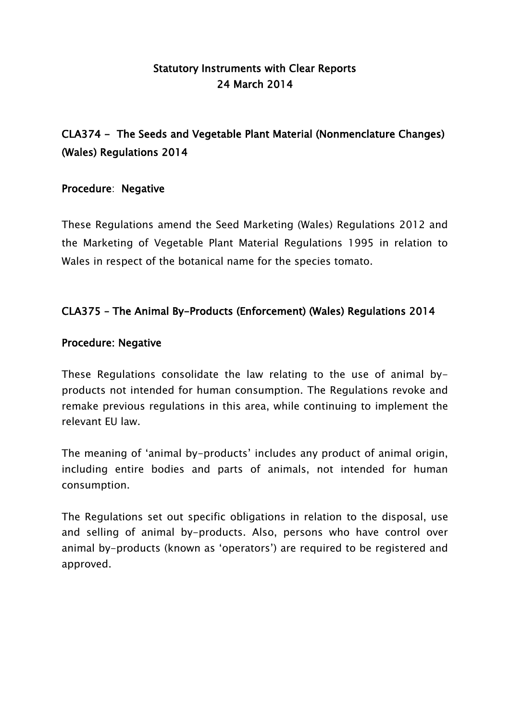## Statutory Instruments with Clear Reports 24 March 2014

# CLA374 - The Seeds and Vegetable Plant Material (Nonmenclature Changes) (Wales) Regulations 2014

### Procedure: Negative

These Regulations amend the Seed Marketing (Wales) Regulations 2012 and the Marketing of Vegetable Plant Material Regulations 1995 in relation to Wales in respect of the botanical name for the species tomato.

### CLA375 – The Animal By-Products (Enforcement) (Wales) Regulations 2014

#### Procedure: Negative

These Regulations consolidate the law relating to the use of animal byproducts not intended for human consumption. The Regulations revoke and remake previous regulations in this area, while continuing to implement the relevant EU law.

The meaning of "animal by-products" includes any product of animal origin, including entire bodies and parts of animals, not intended for human consumption.

The Regulations set out specific obligations in relation to the disposal, use and selling of animal by-products. Also, persons who have control over animal by-products (known as "operators") are required to be registered and approved.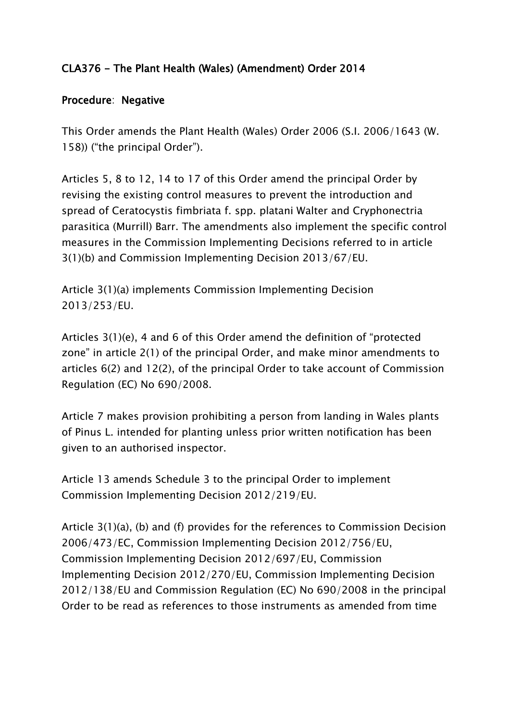## CLA376 - The Plant Health (Wales) (Amendment) Order 2014

### Procedure: Negative

This Order amends the Plant Health (Wales) Order 2006 (S.I. 2006/1643 (W. 158)) ("the principal Order").

Articles 5, 8 to 12, 14 to 17 of this Order amend the principal Order by revising the existing control measures to prevent the introduction and spread of Ceratocystis fimbriata f. spp. platani Walter and Cryphonectria parasitica (Murrill) Barr. The amendments also implement the specific control measures in the Commission Implementing Decisions referred to in article 3(1)(b) and Commission Implementing Decision 2013/67/EU.

Article 3(1)(a) implements Commission Implementing Decision 2013/253/EU.

Articles 3(1)(e), 4 and 6 of this Order amend the definition of "protected zone" in article 2(1) of the principal Order, and make minor amendments to articles 6(2) and 12(2), of the principal Order to take account of Commission Regulation (EC) No 690/2008.

Article 7 makes provision prohibiting a person from landing in Wales plants of Pinus L. intended for planting unless prior written notification has been given to an authorised inspector.

Article 13 amends Schedule 3 to the principal Order to implement Commission Implementing Decision 2012/219/EU.

Article 3(1)(a), (b) and (f) provides for the references to Commission Decision 2006/473/EC, Commission Implementing Decision 2012/756/EU, Commission Implementing Decision 2012/697/EU, Commission Implementing Decision 2012/270/EU, Commission Implementing Decision 2012/138/EU and Commission Regulation (EC) No 690/2008 in the principal Order to be read as references to those instruments as amended from time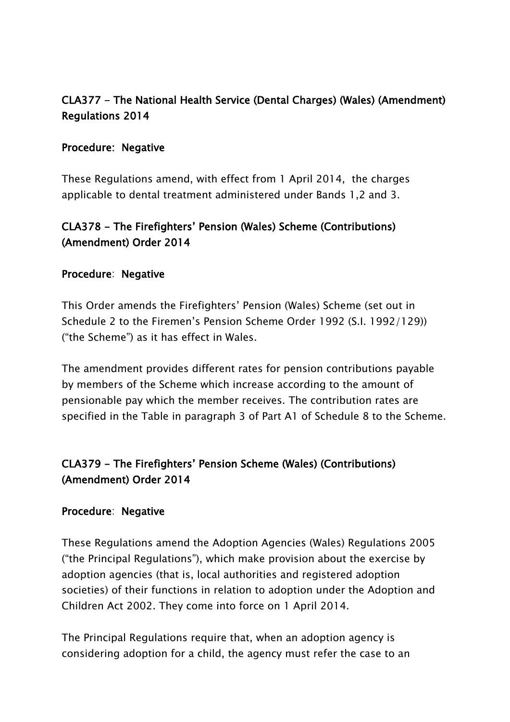## CLA377 - The National Health Service (Dental Charges) (Wales) (Amendment) Regulations 2014

### Procedure: Negative

These Regulations amend, with effect from 1 April 2014, the charges applicable to dental treatment administered under Bands 1,2 and 3.

## CLA378 - The Firefighters" Pension (Wales) Scheme (Contributions) (Amendment) Order 2014

#### Procedure: Negative

This Order amends the Firefighters" Pension (Wales) Scheme (set out in Schedule 2 to the Firemen"s Pension Scheme Order 1992 (S.I. 1992/129)) ("the Scheme") as it has effect in Wales.

The amendment provides different rates for pension contributions payable by members of the Scheme which increase according to the amount of pensionable pay which the member receives. The contribution rates are specified in the Table in paragraph 3 of Part A1 of Schedule 8 to the Scheme.

## CLA379 - The Firefighters" Pension Scheme (Wales) (Contributions) (Amendment) Order 2014

#### Procedure: Negative

These Regulations amend the Adoption Agencies (Wales) Regulations 2005 ("the Principal Regulations"), which make provision about the exercise by adoption agencies (that is, local authorities and registered adoption societies) of their functions in relation to adoption under the Adoption and Children Act 2002. They come into force on 1 April 2014.

The Principal Regulations require that, when an adoption agency is considering adoption for a child, the agency must refer the case to an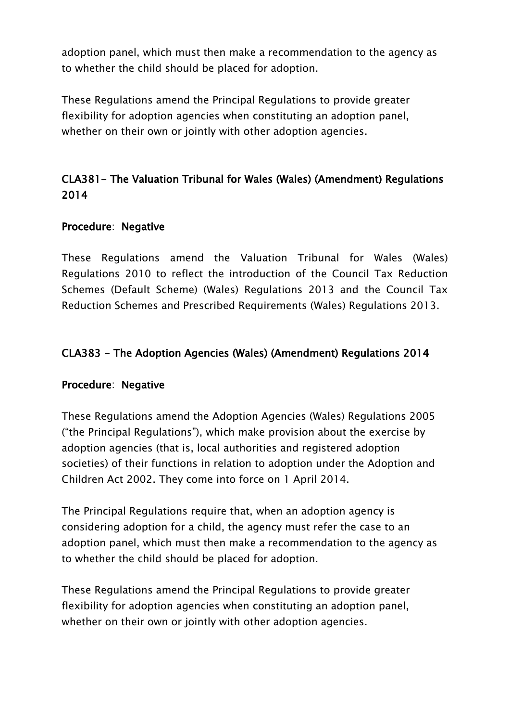adoption panel, which must then make a recommendation to the agency as to whether the child should be placed for adoption.

These Regulations amend the Principal Regulations to provide greater flexibility for adoption agencies when constituting an adoption panel, whether on their own or jointly with other adoption agencies.

## CLA381- The Valuation Tribunal for Wales (Wales) (Amendment) Regulations 2014

### Procedure: Negative

These Regulations amend the Valuation Tribunal for Wales (Wales) Regulations 2010 to reflect the introduction of the Council Tax Reduction Schemes (Default Scheme) (Wales) Regulations 2013 and the Council Tax Reduction Schemes and Prescribed Requirements (Wales) Regulations 2013.

### CLA383 - The Adoption Agencies (Wales) (Amendment) Regulations 2014

#### Procedure: Negative

These Regulations amend the Adoption Agencies (Wales) Regulations 2005 ("the Principal Regulations"), which make provision about the exercise by adoption agencies (that is, local authorities and registered adoption societies) of their functions in relation to adoption under the Adoption and Children Act 2002. They come into force on 1 April 2014.

The Principal Regulations require that, when an adoption agency is considering adoption for a child, the agency must refer the case to an adoption panel, which must then make a recommendation to the agency as to whether the child should be placed for adoption.

These Regulations amend the Principal Regulations to provide greater flexibility for adoption agencies when constituting an adoption panel, whether on their own or jointly with other adoption agencies.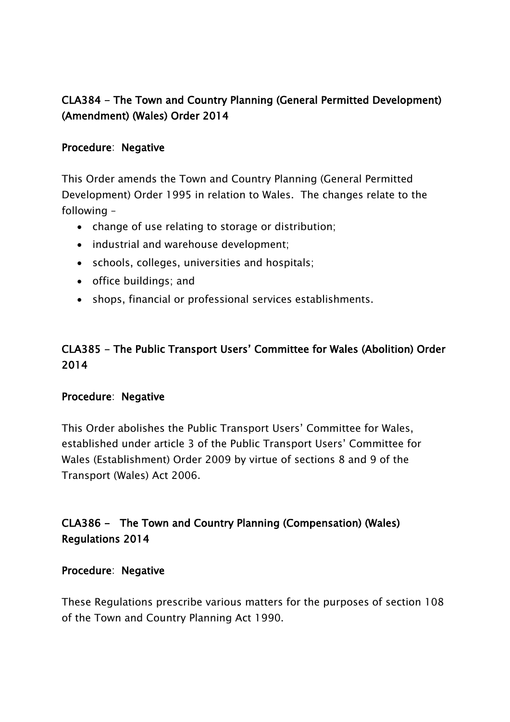## CLA384 - The Town and Country Planning (General Permitted Development) (Amendment) (Wales) Order 2014

### Procedure: Negative

This Order amends the Town and Country Planning (General Permitted Development) Order 1995 in relation to Wales. The changes relate to the following –

- change of use relating to storage or distribution;
- industrial and warehouse development:
- schools, colleges, universities and hospitals;
- office buildings; and
- shops, financial or professional services establishments.

## CLA385 - The Public Transport Users" Committee for Wales (Abolition) Order 2014

#### Procedure: Negative

This Order abolishes the Public Transport Users' Committee for Wales, established under article 3 of the Public Transport Users" Committee for Wales (Establishment) Order 2009 by virtue of sections 8 and 9 of the Transport (Wales) Act 2006.

CLA386 - The Town and Country Planning (Compensation) (Wales) Regulations 2014

#### Procedure: Negative

These Regulations prescribe various matters for the purposes of section 108 of the Town and Country Planning Act 1990.